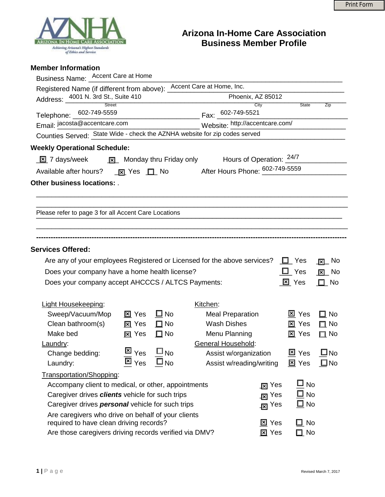

## **Arizona In-Home Care Association Business Member Profile**

|  | <b>Member Information</b> |
|--|---------------------------|
|--|---------------------------|

| Business Name: _ Accent Care at Home                                                                                                  |                                                                 |          |                             |                             |                         |
|---------------------------------------------------------------------------------------------------------------------------------------|-----------------------------------------------------------------|----------|-----------------------------|-----------------------------|-------------------------|
| Registered Name (if different from above): Accent Care at Home, Inc.                                                                  |                                                                 |          |                             |                             |                         |
| Address: 4001 N. 3rd St., Suite 410                                                                                                   |                                                                 |          | Phoenix, AZ 85012           |                             |                         |
|                                                                                                                                       |                                                                 |          | City                        | State                       | Zip                     |
| Telephone: 602-749-5559<br>Email: <u>jacosta@accentcare.com</u><br>Website: http://accentcare.com/<br>Website: http://accentcare.com/ |                                                                 |          |                             |                             |                         |
| Counties Served: State Wide - check the AZNHA website for zip codes served                                                            |                                                                 |          |                             |                             |                         |
| <b>Weekly Operational Schedule:</b>                                                                                                   |                                                                 |          |                             |                             |                         |
| <u>⊠</u> 7 days/week <u>⊠</u> Monday thru Friday only Hours of Operation: $\frac{24/7}{ }$                                            |                                                                 |          |                             |                             |                         |
| Available after hours? <u>[x]</u> Yes [1] No After Hours Phone: $\frac{602-749-5559}{2}$                                              |                                                                 |          |                             |                             |                         |
| Other business locations: .                                                                                                           |                                                                 |          |                             |                             |                         |
|                                                                                                                                       |                                                                 |          |                             |                             |                         |
|                                                                                                                                       |                                                                 |          |                             |                             |                         |
| Please refer to page 3 for all Accent Care Locations                                                                                  |                                                                 |          |                             |                             |                         |
|                                                                                                                                       |                                                                 |          |                             |                             |                         |
|                                                                                                                                       |                                                                 |          |                             |                             |                         |
|                                                                                                                                       |                                                                 |          |                             |                             |                         |
| <b>Services Offered:</b>                                                                                                              |                                                                 |          |                             |                             |                         |
| Are any of your employees Registered or Licensed for the above services? $\Box$ Yes                                                   |                                                                 |          |                             |                             | $\sqrt{2}$ No           |
| Does your company have a home health license?                                                                                         |                                                                 |          |                             | $\Box$ Yes                  | $\boxed{\mathbf{Z}}$ No |
| Does your company accept AHCCCS / ALTCS Payments:                                                                                     |                                                                 |          |                             | 区 Yes                       | $\square$ No            |
|                                                                                                                                       |                                                                 |          |                             |                             |                         |
| Light Housekeeping:                                                                                                                   |                                                                 | Kitchen: |                             |                             |                         |
| Sweep/Vacuum/Mop                                                                                                                      | $\square$ No<br>⊠ Yes                                           |          | <b>Meal Preparation</b>     | <b>⊠</b> Yes                | $\square$ No            |
| Clean bathroom(s)                                                                                                                     | <u>冈</u> Yes<br>$\Box$ No                                       |          | <b>Wash Dishes</b>          | <b>⊠ Yes</b>                | $\Box$ No               |
| Make bed                                                                                                                              | $\Box$ No<br><u>冈</u> Yes                                       |          | Menu Planning               | $\boxtimes$ Yes             | $\square$ No            |
| Laundry:                                                                                                                              |                                                                 |          | <b>General Household:</b>   |                             |                         |
| Change bedding:                                                                                                                       | $\overline{\boxtimes}$ $_{\text{Yes}}$<br>$\square_{\text{No}}$ |          | Assist w/organization       | $\underline{\Xi}$ Yes       | $\square$ No            |
| Laundry:                                                                                                                              | $\boxtimes$ $_{\text{Yes}}$<br>$\square_{\text{No}}$            |          | Assist w/reading/writing    | $\underline{\boxtimes}$ Yes | $\square$ No            |
| Transportation/Shopping:                                                                                                              |                                                                 |          |                             |                             |                         |
| Accompany client to medical, or other, appointments                                                                                   |                                                                 |          | Yes<br>∏ঘ                   | $\Box$<br><b>No</b>         |                         |
| Caregiver drives clients vehicle for such trips                                                                                       |                                                                 |          | Yes<br>冈                    | $\square$ No                |                         |
| Caregiver drives <b>personal</b> vehicle for such trips                                                                               |                                                                 |          | $\overline{\mathbf{z}}$ Yes | $\square$ No                |                         |
| Are caregivers who drive on behalf of your clients                                                                                    |                                                                 |          |                             |                             |                         |
| required to have clean driving records?                                                                                               |                                                                 |          | <u>⊠</u> Yes                | $\square$ No                |                         |
| Are those caregivers driving records verified via DMV?                                                                                |                                                                 |          | <b>冈</b> Yes                | $\square$ No                |                         |
|                                                                                                                                       |                                                                 |          |                             |                             |                         |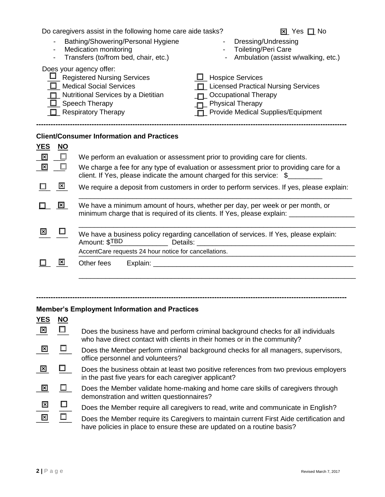|                                                                                                                                                                                                                                                                                                                                                                                  | Do caregivers assist in the following home care aide tasks?<br><b>⊠</b> Yes □ No                                                                                                                                                                                                                    |  |  |  |  |
|----------------------------------------------------------------------------------------------------------------------------------------------------------------------------------------------------------------------------------------------------------------------------------------------------------------------------------------------------------------------------------|-----------------------------------------------------------------------------------------------------------------------------------------------------------------------------------------------------------------------------------------------------------------------------------------------------|--|--|--|--|
| $\overline{\phantom{a}}$<br>$\overline{\phantom{a}}$                                                                                                                                                                                                                                                                                                                             | Bathing/Showering/Personal Hygiene<br>Dressing/Undressing<br><b>Medication monitoring</b><br><b>Toileting/Peri Care</b><br>Transfers (to/from bed, chair, etc.)<br>Ambulation (assist w/walking, etc.)                                                                                              |  |  |  |  |
| Does your agency offer:<br><b>L</b> Registered Nursing Services<br>$\Box$ Hospice Services<br><b>Medical Social Services</b><br><b>Licensed Practical Nursing Services</b><br>$\Box$<br><b>Occupational Therapy</b><br>Nutritional Services by a Dietitian<br>Speech Therapy<br><b>Physical Therapy</b><br>ш<br>Provide Medical Supplies/Equipment<br>$\Box$ Respiratory Therapy |                                                                                                                                                                                                                                                                                                     |  |  |  |  |
| <b>YES</b><br><u>NO</u>                                                                                                                                                                                                                                                                                                                                                          | <b>Client/Consumer Information and Practices</b>                                                                                                                                                                                                                                                    |  |  |  |  |
| 図<br>$\Box$                                                                                                                                                                                                                                                                                                                                                                      | We perform an evaluation or assessment prior to providing care for clients.                                                                                                                                                                                                                         |  |  |  |  |
| 図<br>□                                                                                                                                                                                                                                                                                                                                                                           | We charge a fee for any type of evaluation or assessment prior to providing care for a<br>client. If Yes, please indicate the amount charged for this service: \$                                                                                                                                   |  |  |  |  |
| ⊠                                                                                                                                                                                                                                                                                                                                                                                | We require a deposit from customers in order to perform services. If yes, please explain:                                                                                                                                                                                                           |  |  |  |  |
| $\mathbf{\Sigma}$                                                                                                                                                                                                                                                                                                                                                                | We have a minimum amount of hours, whether per day, per week or per month, or<br>minimum charge that is required of its clients. If Yes, please explain: _________                                                                                                                                  |  |  |  |  |
| ⊠                                                                                                                                                                                                                                                                                                                                                                                | We have a business policy regarding cancellation of services. If Yes, please explain:<br>Amount: \$TBD<br>Details:<br><u> 1980 - Jan Samuel Barbara, margaret e populari e populari e populari e populari e populari e populari e popu</u><br>AccentCare requests 24 hour notice for cancellations. |  |  |  |  |
| 図                                                                                                                                                                                                                                                                                                                                                                                |                                                                                                                                                                                                                                                                                                     |  |  |  |  |
|                                                                                                                                                                                                                                                                                                                                                                                  | Other fees                                                                                                                                                                                                                                                                                          |  |  |  |  |

## **Member's Employment Information and Practices**

| <b>YES</b>      | <b>NO</b> |                                                                                                                                                                   |
|-----------------|-----------|-------------------------------------------------------------------------------------------------------------------------------------------------------------------|
| $\vert x \vert$ | $\Box$    | Does the business have and perform criminal background checks for all individuals<br>who have direct contact with clients in their homes or in the community?     |
| 図               |           | Does the Member perform criminal background checks for all managers, supervisors,<br>office personnel and volunteers?                                             |
| $\mathbf{X}$    |           | Does the business obtain at least two positive references from two previous employers<br>in the past five years for each caregiver applicant?                     |
| $\vert x \vert$ |           | Does the Member validate home-making and home care skills of caregivers through<br>demonstration and written questionnaires?                                      |
| 区               |           | Does the Member require all caregivers to read, write and communicate in English?                                                                                 |
| 図               |           | Does the Member require its Caregivers to maintain current First Aide certification and<br>have policies in place to ensure these are updated on a routine basis? |

**---------------------------------------------------------------------------------------------------------------------------------**